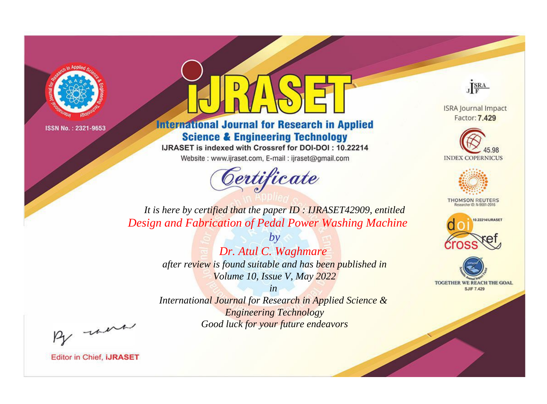

## **International Journal for Research in Applied Science & Engineering Technology**

IJRASET is indexed with Crossref for DOI-DOI: 10.22214

Website: www.ijraset.com, E-mail: ijraset@gmail.com



JERA

**ISRA Journal Impact** Factor: 7.429





**THOMSON REUTERS** 



TOGETHER WE REACH THE GOAL **SJIF 7.429** 

*It is here by certified that the paper ID : IJRASET42909, entitled Design and Fabrication of Pedal Power Washing Machine*

> *by Dr. Atul C. Waghmare after review is found suitable and has been published in Volume 10, Issue V, May 2022*

> > *in*

*International Journal for Research in Applied Science & Engineering Technology Good luck for your future endeavors*

By morn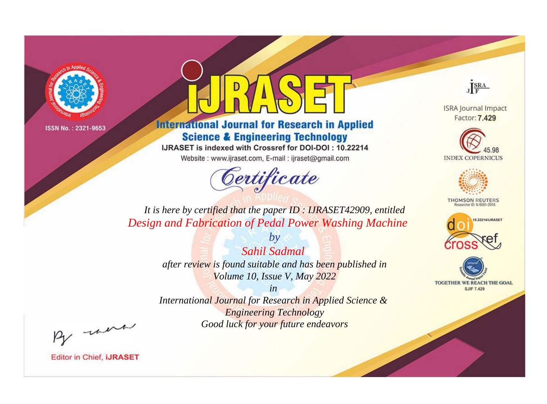

## **International Journal for Research in Applied Science & Engineering Technology**

IJRASET is indexed with Crossref for DOI-DOI: 10.22214

Website: www.ijraset.com, E-mail: ijraset@gmail.com



JERA

**ISRA Journal Impact** Factor: 7.429





**THOMSON REUTERS** 



TOGETHER WE REACH THE GOAL **SJIF 7.429** 

*It is here by certified that the paper ID : IJRASET42909, entitled Design and Fabrication of Pedal Power Washing Machine*

> *by Sahil Sadmal after review is found suitable and has been published in Volume 10, Issue V, May 2022*

> > *in*

*International Journal for Research in Applied Science & Engineering Technology Good luck for your future endeavors*

By morn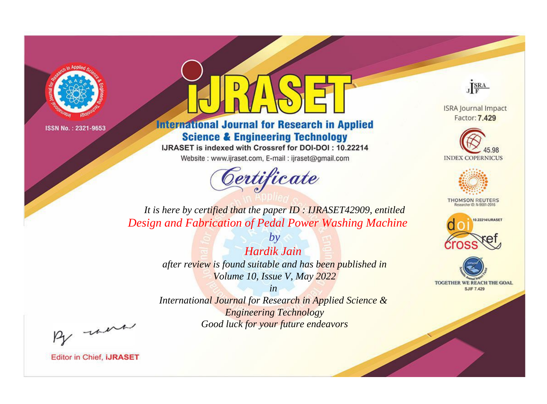

## **International Journal for Research in Applied Science & Engineering Technology**

IJRASET is indexed with Crossref for DOI-DOI: 10.22214

Website: www.ijraset.com, E-mail: ijraset@gmail.com



JERA

**ISRA Journal Impact** Factor: 7.429





**THOMSON REUTERS** 



TOGETHER WE REACH THE GOAL **SJIF 7.429** 

*It is here by certified that the paper ID : IJRASET42909, entitled Design and Fabrication of Pedal Power Washing Machine*

> *by Hardik Jain after review is found suitable and has been published in Volume 10, Issue V, May 2022*

> > *in*

*International Journal for Research in Applied Science & Engineering Technology Good luck for your future endeavors*

By morn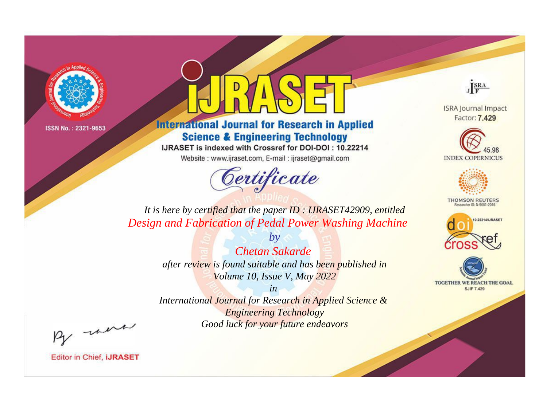

## **International Journal for Research in Applied Science & Engineering Technology**

IJRASET is indexed with Crossref for DOI-DOI: 10.22214

Website: www.ijraset.com, E-mail: ijraset@gmail.com



JERA

**ISRA Journal Impact** Factor: 7.429





**THOMSON REUTERS** 



TOGETHER WE REACH THE GOAL **SJIF 7.429** 

*It is here by certified that the paper ID : IJRASET42909, entitled Design and Fabrication of Pedal Power Washing Machine*

> *by Chetan Sakarde after review is found suitable and has been published in Volume 10, Issue V, May 2022*

> > *in*

*International Journal for Research in Applied Science & Engineering Technology Good luck for your future endeavors*

By morn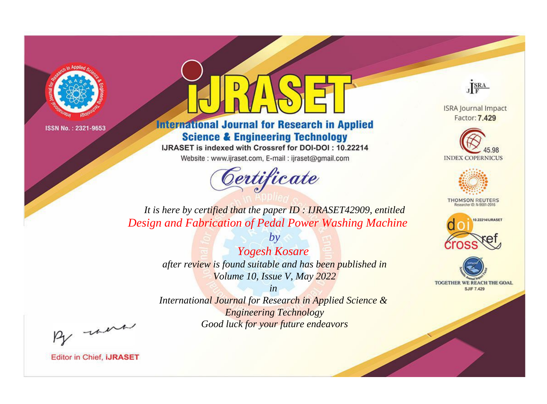

## **International Journal for Research in Applied Science & Engineering Technology**

IJRASET is indexed with Crossref for DOI-DOI: 10.22214

Website: www.ijraset.com, E-mail: ijraset@gmail.com



JERA

**ISRA Journal Impact** Factor: 7.429





**THOMSON REUTERS** 



TOGETHER WE REACH THE GOAL **SJIF 7.429** 

*It is here by certified that the paper ID : IJRASET42909, entitled Design and Fabrication of Pedal Power Washing Machine*

> *by Yogesh Kosare after review is found suitable and has been published in Volume 10, Issue V, May 2022*

> > *in*

*International Journal for Research in Applied Science & Engineering Technology Good luck for your future endeavors*

By morn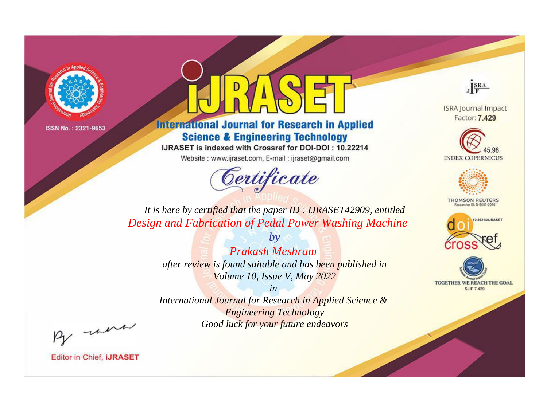

## **International Journal for Research in Applied Science & Engineering Technology**

IJRASET is indexed with Crossref for DOI-DOI: 10.22214

Website: www.ijraset.com, E-mail: ijraset@gmail.com

# Certificate

JERA

**ISRA Journal Impact** Factor: 7.429





**THOMSON REUTERS** 



TOGETHER WE REACH THE GOAL **SJIF 7.429** 

*It is here by certified that the paper ID : IJRASET42909, entitled Design and Fabrication of Pedal Power Washing Machine*

> *by Prakash Meshram after review is found suitable and has been published in Volume 10, Issue V, May 2022*

> > *in*

*International Journal for Research in Applied Science & Engineering Technology Good luck for your future endeavors*

By morn